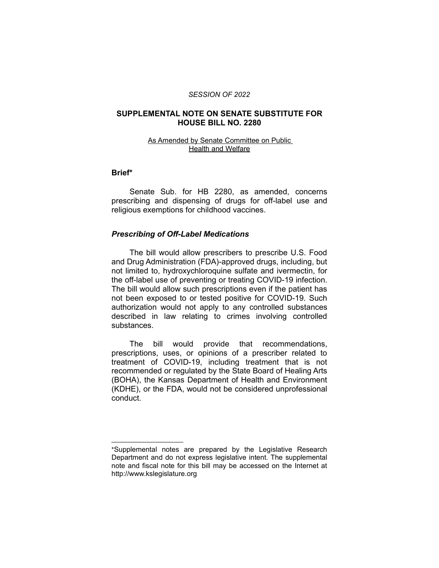#### *SESSION OF 2022*

## **SUPPLEMENTAL NOTE ON SENATE SUBSTITUTE FOR HOUSE BILL NO. 2280**

### As Amended by Senate Committee on Public Health and Welfare

#### **Brief\***

Senate Sub. for HB 2280, as amended, concerns prescribing and dispensing of drugs for off-label use and religious exemptions for childhood vaccines.

# *Prescribing of Off-Label Medications*

 $\overline{\phantom{a}}$  , where  $\overline{\phantom{a}}$  , where  $\overline{\phantom{a}}$ 

The bill would allow prescribers to prescribe U.S. Food and Drug Administration (FDA)-approved drugs, including, but not limited to, hydroxychloroquine sulfate and ivermectin, for the off-label use of preventing or treating COVID-19 infection. The bill would allow such prescriptions even if the patient has not been exposed to or tested positive for COVID-19. Such authorization would not apply to any controlled substances described in law relating to crimes involving controlled substances.

The bill would provide that recommendations, prescriptions, uses, or opinions of a prescriber related to treatment of COVID-19, including treatment that is not recommended or regulated by the State Board of Healing Arts (BOHA), the Kansas Department of Health and Environment (KDHE), or the FDA, would not be considered unprofessional conduct.

<sup>\*</sup>Supplemental notes are prepared by the Legislative Research Department and do not express legislative intent. The supplemental note and fiscal note for this bill may be accessed on the Internet at http://www.kslegislature.org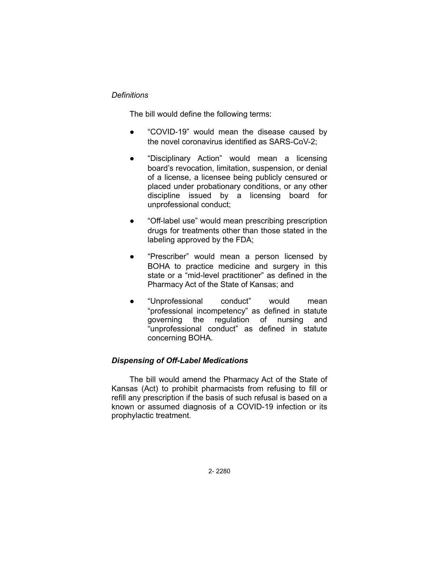# *Definitions*

The bill would define the following terms:

- "COVID-19" would mean the disease caused by the novel coronavirus identified as SARS-CoV-2;
- "Disciplinary Action" would mean a licensing board's revocation, limitation, suspension, or denial of a license, a licensee being publicly censured or placed under probationary conditions, or any other discipline issued by a licensing board for unprofessional conduct;
- "Off-label use" would mean prescribing prescription drugs for treatments other than those stated in the labeling approved by the FDA;
- "Prescriber" would mean a person licensed by BOHA to practice medicine and surgery in this state or a "mid-level practitioner" as defined in the Pharmacy Act of the State of Kansas; and
- "Unprofessional conduct" would mean "professional incompetency" as defined in statute governing the regulation of nursing and "unprofessional conduct" as defined in statute concerning BOHA.

# *Dispensing of Off-Label Medications*

The bill would amend the Pharmacy Act of the State of Kansas (Act) to prohibit pharmacists from refusing to fill or refill any prescription if the basis of such refusal is based on a known or assumed diagnosis of a COVID-19 infection or its prophylactic treatment.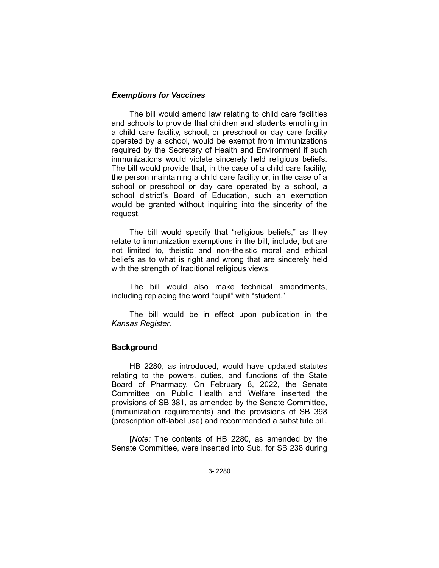## *Exemptions for Vaccines*

The bill would amend law relating to child care facilities and schools to provide that children and students enrolling in a child care facility, school, or preschool or day care facility operated by a school, would be exempt from immunizations required by the Secretary of Health and Environment if such immunizations would violate sincerely held religious beliefs. The bill would provide that, in the case of a child care facility, the person maintaining a child care facility or, in the case of a school or preschool or day care operated by a school, a school district's Board of Education, such an exemption would be granted without inquiring into the sincerity of the request.

The bill would specify that "religious beliefs," as they relate to immunization exemptions in the bill, include, but are not limited to, theistic and non-theistic moral and ethical beliefs as to what is right and wrong that are sincerely held with the strength of traditional religious views.

The bill would also make technical amendments, including replacing the word "pupil" with "student."

The bill would be in effect upon publication in the *Kansas Register*.

## **Background**

HB 2280, as introduced, would have updated statutes relating to the powers, duties, and functions of the State Board of Pharmacy. On February 8, 2022, the Senate Committee on Public Health and Welfare inserted the provisions of SB 381, as amended by the Senate Committee, (immunization requirements) and the provisions of SB 398 (prescription off-label use) and recommended a substitute bill.

[*Note:* The contents of HB 2280, as amended by the Senate Committee, were inserted into Sub. for SB 238 during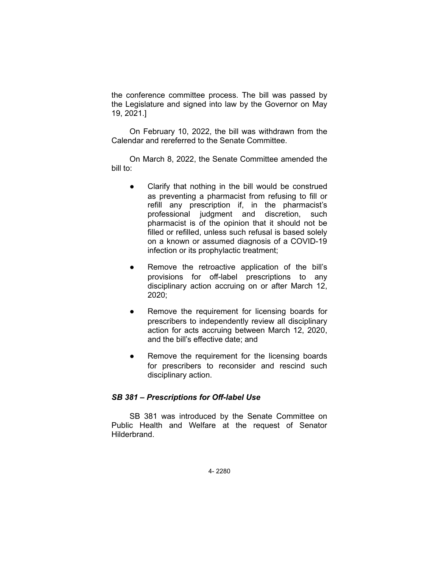the conference committee process. The bill was passed by the Legislature and signed into law by the Governor on May 19, 2021.]

On February 10, 2022, the bill was withdrawn from the Calendar and rereferred to the Senate Committee.

On March 8, 2022, the Senate Committee amended the bill to:

- Clarify that nothing in the bill would be construed as preventing a pharmacist from refusing to fill or refill any prescription if, in the pharmacist's professional judgment and discretion, such pharmacist is of the opinion that it should not be filled or refilled, unless such refusal is based solely on a known or assumed diagnosis of a COVID-19 infection or its prophylactic treatment;
- Remove the retroactive application of the bill's provisions for off-label prescriptions to any disciplinary action accruing on or after March 12, 2020;
- Remove the requirement for licensing boards for prescribers to independently review all disciplinary action for acts accruing between March 12, 2020, and the bill's effective date; and
- Remove the requirement for the licensing boards for prescribers to reconsider and rescind such disciplinary action.

### *SB 381 – Prescriptions for Off-label Use*

SB 381 was introduced by the Senate Committee on Public Health and Welfare at the request of Senator Hilderbrand.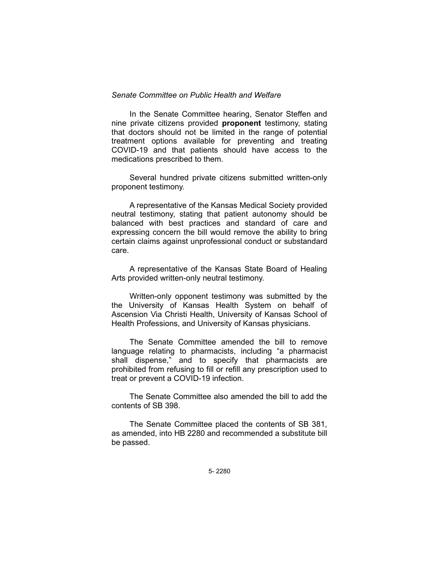### *Senate Committee on Public Health and Welfare*

In the Senate Committee hearing, Senator Steffen and nine private citizens provided **proponent** testimony, stating that doctors should not be limited in the range of potential treatment options available for preventing and treating COVID-19 and that patients should have access to the medications prescribed to them.

Several hundred private citizens submitted written-only proponent testimony.

A representative of the Kansas Medical Society provided neutral testimony, stating that patient autonomy should be balanced with best practices and standard of care and expressing concern the bill would remove the ability to bring certain claims against unprofessional conduct or substandard care.

A representative of the Kansas State Board of Healing Arts provided written-only neutral testimony.

Written-only opponent testimony was submitted by the the University of Kansas Health System on behalf of Ascension Via Christi Health, University of Kansas School of Health Professions, and University of Kansas physicians.

The Senate Committee amended the bill to remove language relating to pharmacists, including "a pharmacist shall dispense," and to specify that pharmacists are prohibited from refusing to fill or refill any prescription used to treat or prevent a COVID-19 infection.

The Senate Committee also amended the bill to add the contents of SB 398.

The Senate Committee placed the contents of SB 381, as amended, into HB 2280 and recommended a substitute bill be passed.

5- 2280